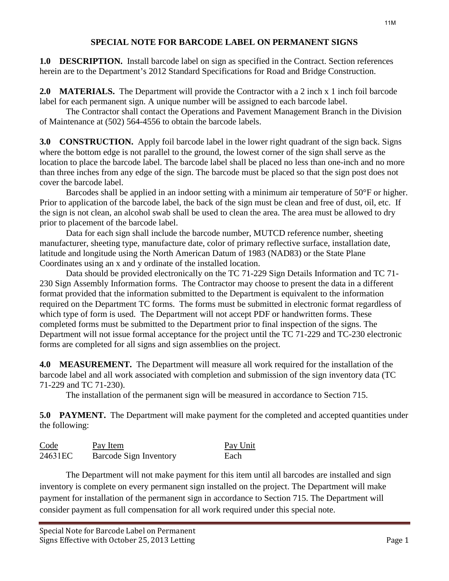**1.0 DESCRIPTION.** Install barcode label on sign as specified in the Contract. Section references herein are to the Department's 2012 Standard Specifications for Road and Bridge Construction.

**2.0 MATERIALS.** The Department will provide the Contractor with a 2 inch x 1 inch foil barcode label for each permanent sign. A unique number will be assigned to each barcode label.

The Contractor shall contact the Operations and Pavement Management Branch in the Division of Maintenance at (502) 564-4556 to obtain the barcode labels.

**3.0 CONSTRUCTION.** Apply foil barcode label in the lower right quadrant of the sign back. Signs where the bottom edge is not parallel to the ground, the lowest corner of the sign shall serve as the location to place the barcode label. The barcode label shall be placed no less than one-inch and no more than three inches from any edge of the sign. The barcode must be placed so that the sign post does not cover the barcode label.

Barcodes shall be applied in an indoor setting with a minimum air temperature of 50°F or higher. Prior to application of the barcode label, the back of the sign must be clean and free of dust, oil, etc. If the sign is not clean, an alcohol swab shall be used to clean the area. The area must be allowed to dry prior to placement of the barcode label.

Data for each sign shall include the barcode number, MUTCD reference number, sheeting manufacturer, sheeting type, manufacture date, color of primary reflective surface, installation date, latitude and longitude using the North American Datum of 1983 (NAD83) or the State Plane Coordinates using an x and y ordinate of the installed location.

Data should be provided electronically on the TC 71-229 Sign Details Information and TC 71- 230 Sign Assembly Information forms. The Contractor may choose to present the data in a different format provided that the information submitted to the Department is equivalent to the information required on the Department TC forms. The forms must be submitted in electronic format regardless of which type of form is used. The Department will not accept PDF or handwritten forms. These completed forms must be submitted to the Department prior to final inspection of the signs. The Department will not issue formal acceptance for the project until the TC 71-229 and TC-230 electronic forms are completed for all signs and sign assemblies on the project.

**4.0 MEASUREMENT.** The Department will measure all work required for the installation of the barcode label and all work associated with completion and submission of the sign inventory data (TC 71-229 and TC 71-230).

The installation of the permanent sign will be measured in accordance to Section 715.

**5.0 PAYMENT.** The Department will make payment for the completed and accepted quantities under the following:

| Code                | Pay Item               | Pay Unit |
|---------------------|------------------------|----------|
| 24631 <sub>EC</sub> | Barcode Sign Inventory | Each     |

The Department will not make payment for this item until all barcodes are installed and sign inventory is complete on every permanent sign installed on the project. The Department will make payment for installation of the permanent sign in accordance to Section 715. The Department will consider payment as full compensation for all work required under this special note.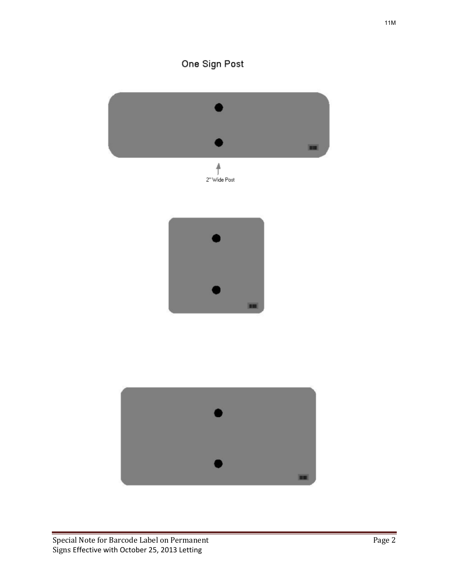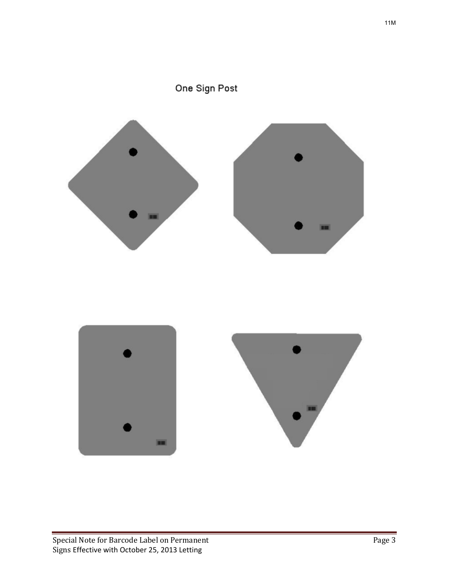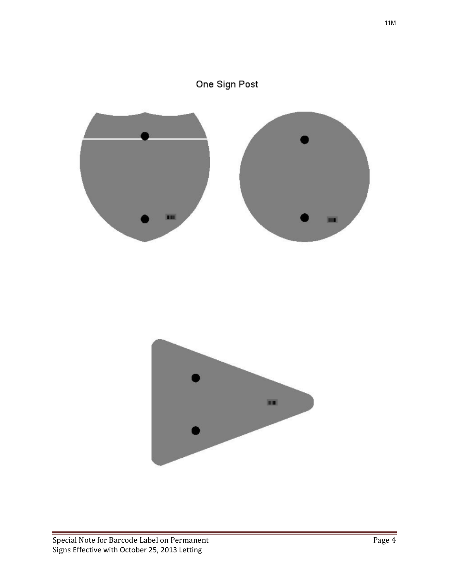## One Sign Post

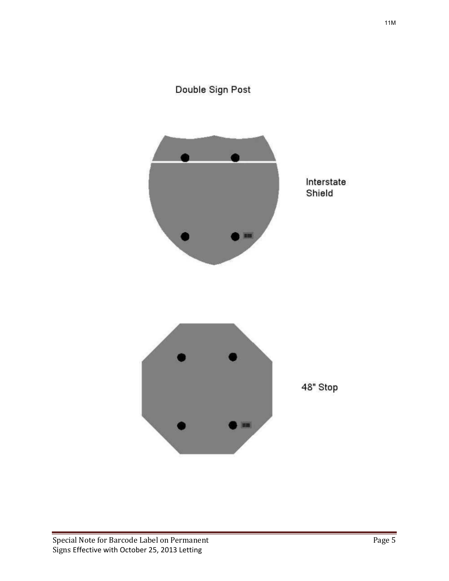